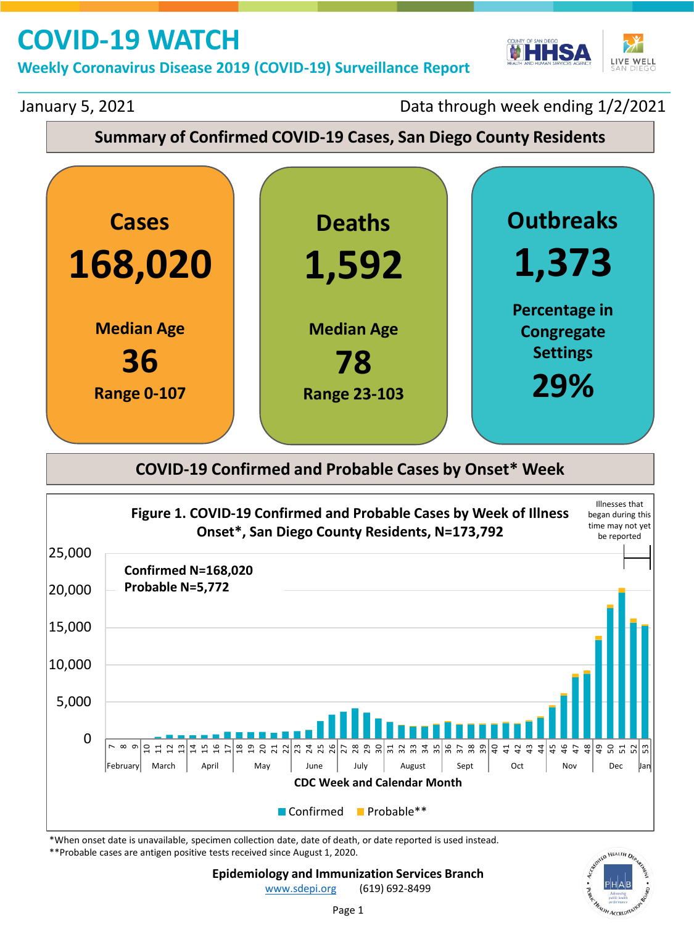**Weekly Coronavirus Disease 2019 (COVID-19) Surveillance Report** 



January 5, 2021

Data through week ending 1/2/2021

### **Summary of Confirmed COVID-19 Cases, San Diego County Residents**



### **COVID-19 Confirmed and Probable Cases by Onset\* Week**



\*When onset date is unavailable, specimen collection date, date of death, or date reported is used instead.

\*\*Probable cases are antigen positive tests received since August 1, 2020.



Page 1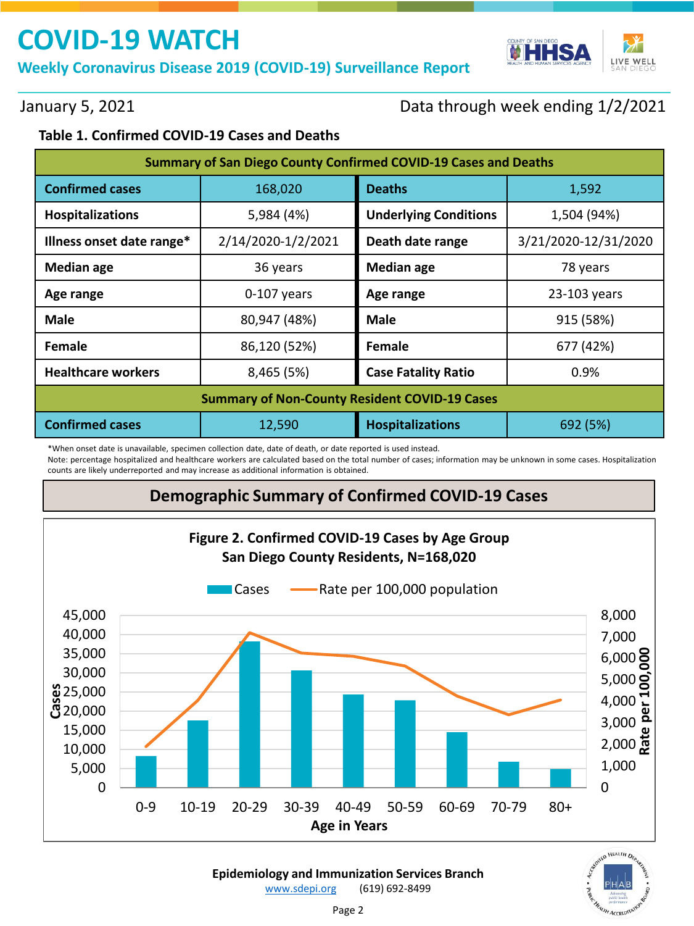**Weekly Coronavirus Disease 2019 (COVID-19) Surveillance Report** 



January 5, 2021

### Data through week ending 1/2/2021

#### **Table 1. Confirmed COVID-19 Cases and Deaths**

| <b>Summary of San Diego County Confirmed COVID-19 Cases and Deaths</b> |                    |                                             |           |  |  |  |
|------------------------------------------------------------------------|--------------------|---------------------------------------------|-----------|--|--|--|
| <b>Confirmed cases</b>                                                 | 168,020            | <b>Deaths</b><br>1,592                      |           |  |  |  |
| Hospitalizations                                                       | 5,984 (4%)         | <b>Underlying Conditions</b><br>1,504 (94%) |           |  |  |  |
| Illness onset date range*                                              | 2/14/2020-1/2/2021 | 3/21/2020-12/31/2020<br>Death date range    |           |  |  |  |
| <b>Median age</b>                                                      | 36 years           | <b>Median age</b><br>78 years               |           |  |  |  |
| Age range                                                              | $0-107$ years      | 23-103 years<br>Age range                   |           |  |  |  |
| <b>Male</b>                                                            | 80,947 (48%)       | Male                                        | 915 (58%) |  |  |  |
| Female                                                                 | 86,120 (52%)       | Female<br>677 (42%)                         |           |  |  |  |
| <b>Healthcare workers</b>                                              | 8,465 (5%)         | <b>Case Fatality Ratio</b>                  | 0.9%      |  |  |  |
| <b>Summary of Non-County Resident COVID-19 Cases</b>                   |                    |                                             |           |  |  |  |
| <b>Confirmed cases</b>                                                 | 12,590             | <b>Hospitalizations</b><br>692 (5%)         |           |  |  |  |

\*When onset date is unavailable, specimen collection date, date of death, or date reported is used instead.

Note: percentage hospitalized and healthcare workers are calculated based on the total number of cases; information may be unknown in some cases. Hospitalization counts are likely underreported and may increase as additional information is obtained.

### **Demographic Summary of Confirmed COVID-19 Cases**

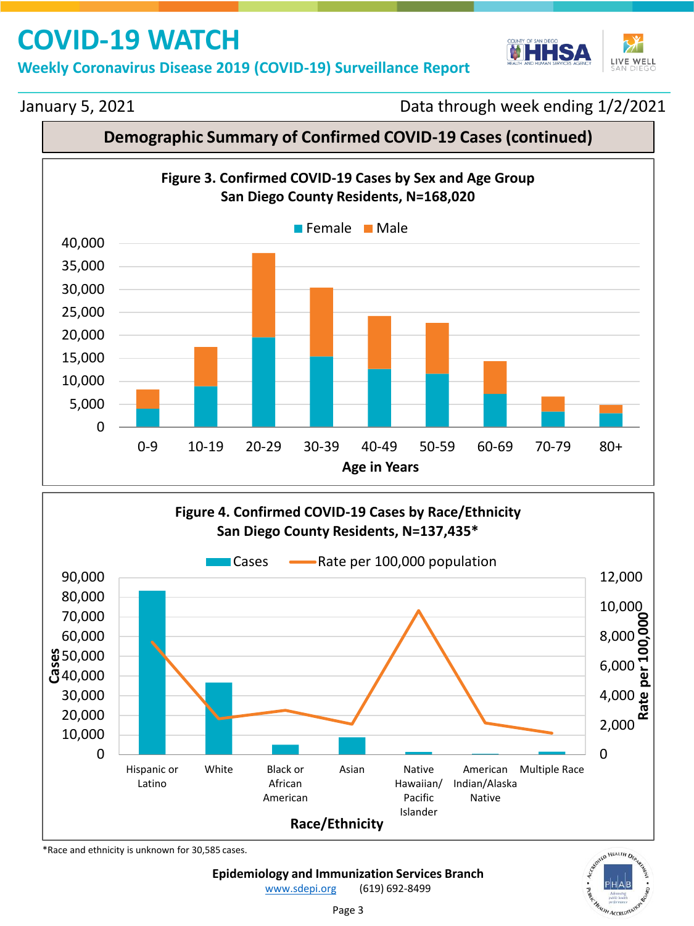**Weekly Coronavirus Disease 2019 (COVID-19) Surveillance Report** 



#### January 5, 2021

Data through week ending 1/2/2021

### **Demographic Summary of Confirmed COVID-19 Cases (continued)**





\*Race and ethnicity is unknown for 30,585 cases.



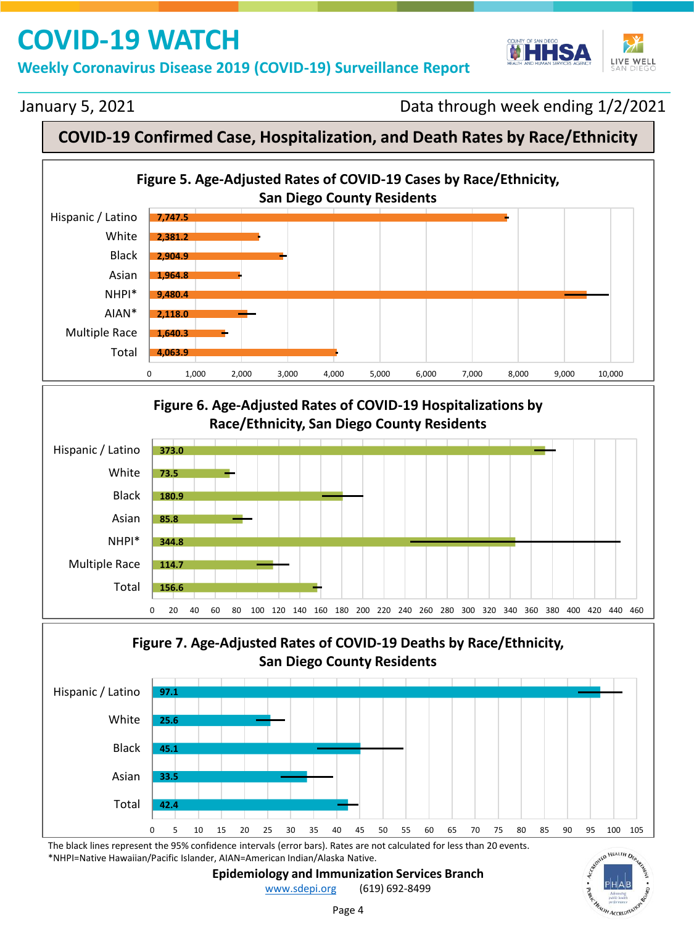**Weekly Coronavirus Disease 2019 (COVID-19) Surveillance Report** 



#### January 5, 2021

Data through week ending 1/2/2021

### **COVID-19 Confirmed Case, Hospitalization, and Death Rates by Race/Ethnicity**

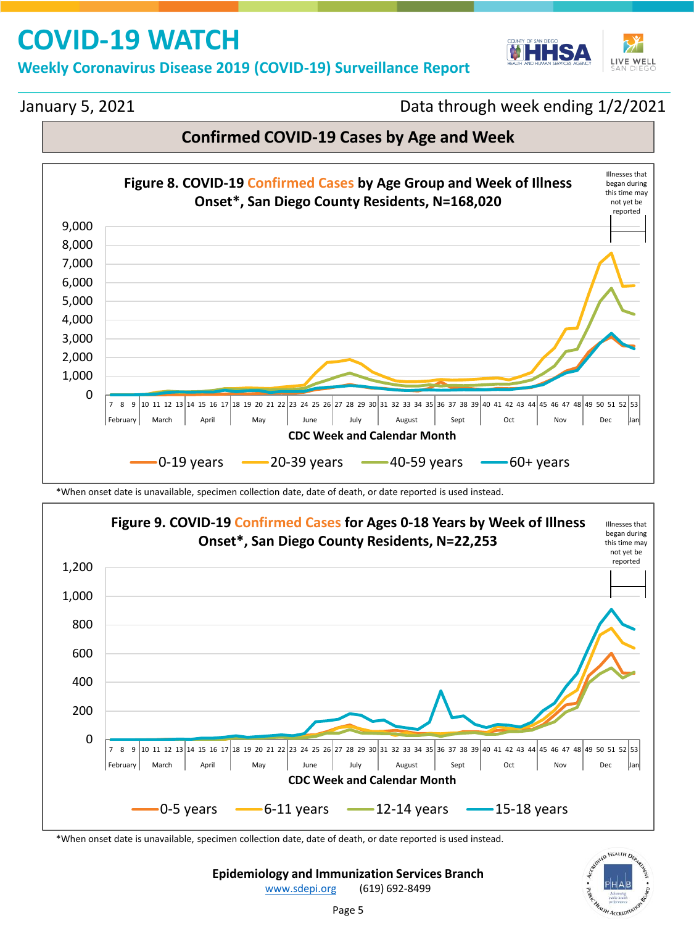**Weekly Coronavirus Disease 2019 (COVID-19) Surveillance Report** 



#### January 5, 2021

Data through week ending 1/2/2021

### **Confirmed COVID-19 Cases by Age and Week**



\*When onset date is unavailable, specimen collection date, date of death, or date reported is used instead.



\*When onset date is unavailable, specimen collection date, date of death, or date reported is used instead.



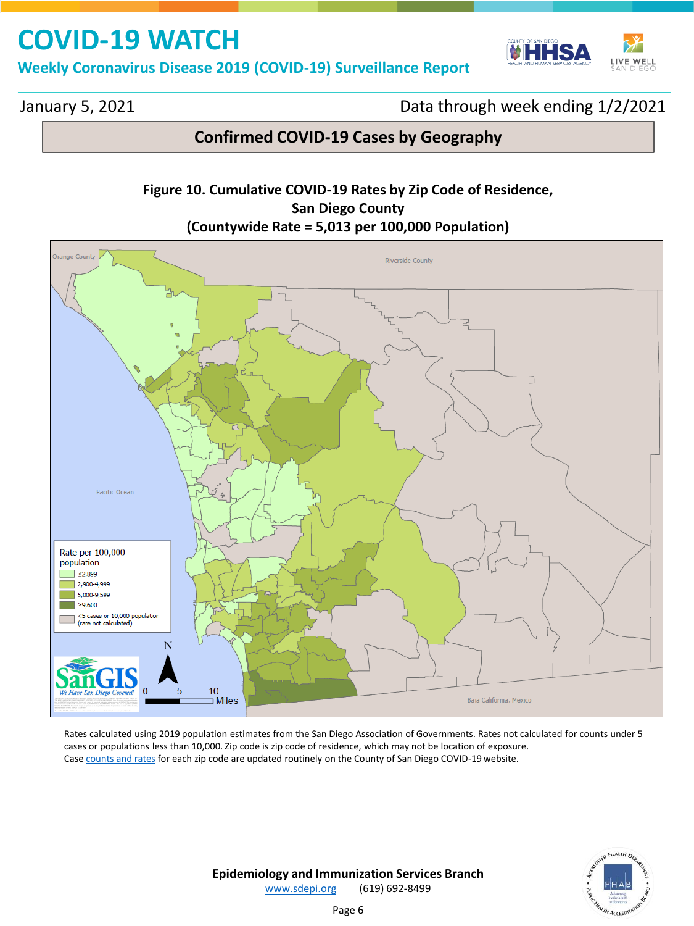**Weekly Coronavirus Disease 2019 (COVID-19) Surveillance Report** 



January 5, 2021

Data through week ending 1/2/2021

### **Confirmed COVID-19 Cases by Geography**

#### **Figure 10. Cumulative COVID-19 Rates by Zip Code of Residence, San Diego County (Countywide Rate = 5,013 per 100,000 Population)**



Rates calculated using 2019 population estimates from the San Diego Association of Governments. Rates not calculated for counts under 5 cases or populations less than 10,000. Zip code is zip code of residence, which may not be location of exposure. Case [counts and rates](https://www.sandiegocounty.gov/content/dam/sdc/hhsa/programs/phs/Epidemiology/COVID-19%20Summary%20of%20Cases%20by%20Zip%20Code.pdf) for each zip code are updated routinely on the County of San Diego COVID-19 website.

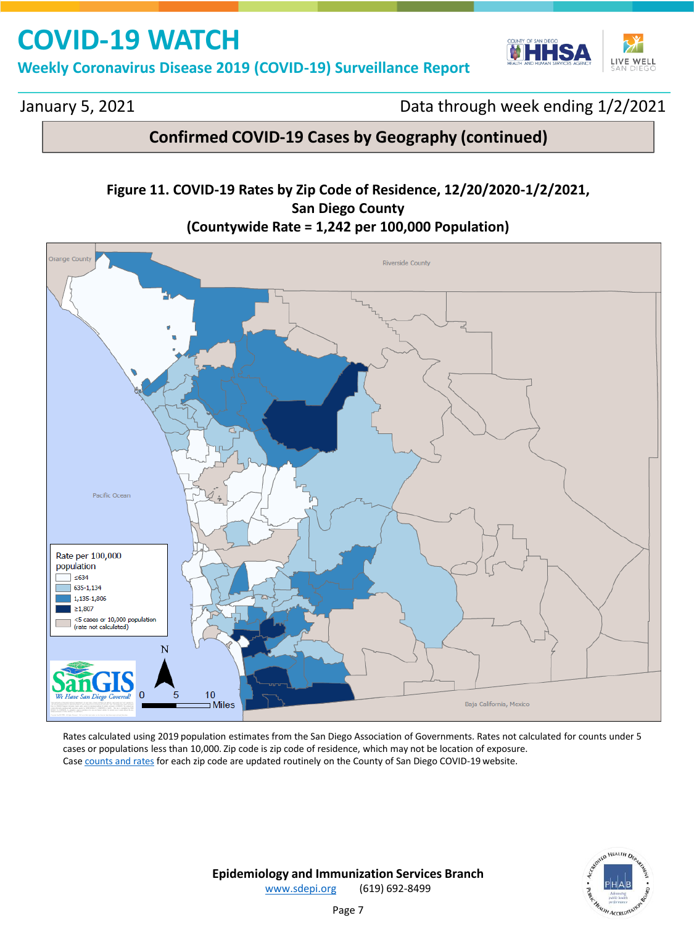**Weekly Coronavirus Disease 2019 (COVID-19) Surveillance Report** 



January 5, 2021

Data through week ending 1/2/2021

### **Confirmed COVID-19 Cases by Geography (continued)**

#### **Figure 11. COVID-19 Rates by Zip Code of Residence, 12/20/2020-1/2/2021, San Diego County (Countywide Rate = 1,242 per 100,000 Population)**



Rates calculated using 2019 population estimates from the San Diego Association of Governments. Rates not calculated for counts under 5 cases or populations less than 10,000. Zip code is zip code of residence, which may not be location of exposure. Case [counts and rates](https://www.sandiegocounty.gov/content/dam/sdc/hhsa/programs/phs/Epidemiology/COVID-19%20Summary%20of%20Cases%20by%20Zip%20Code.pdf) for each zip code are updated routinely on the County of San Diego COVID-19 website.

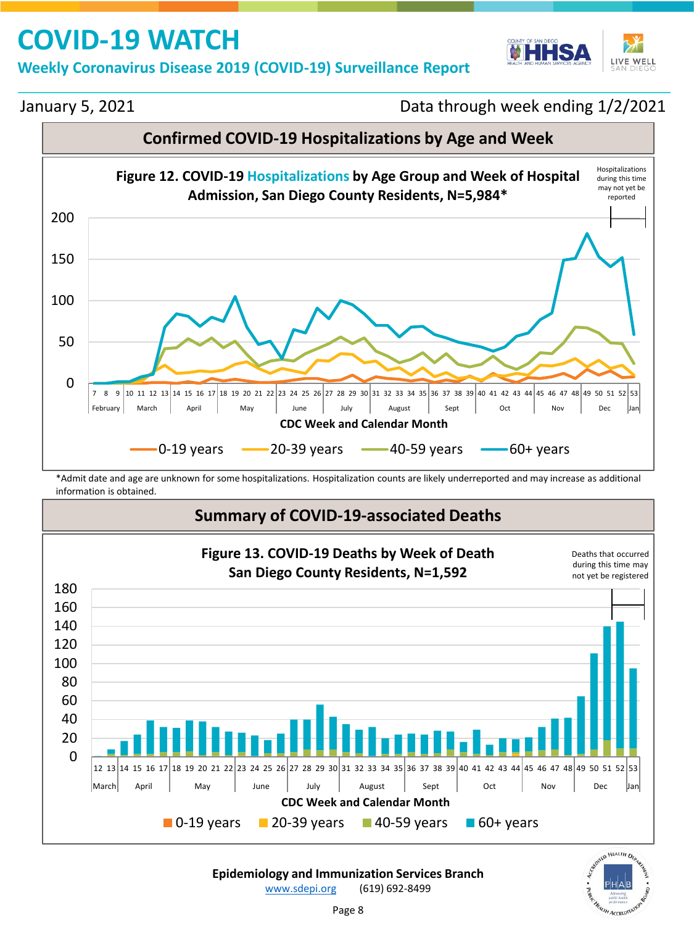**Weekly Coronavirus Disease 2019 (COVID-19) Surveillance Report** 



January 5, 2021

Data through week ending 1/2/2021



\*Admit date and age are unknown for some hospitalizations. Hospitalization counts are likely underreported and may increase as additional information is obtained.

### **Summary of COVID-19-associated Deaths**



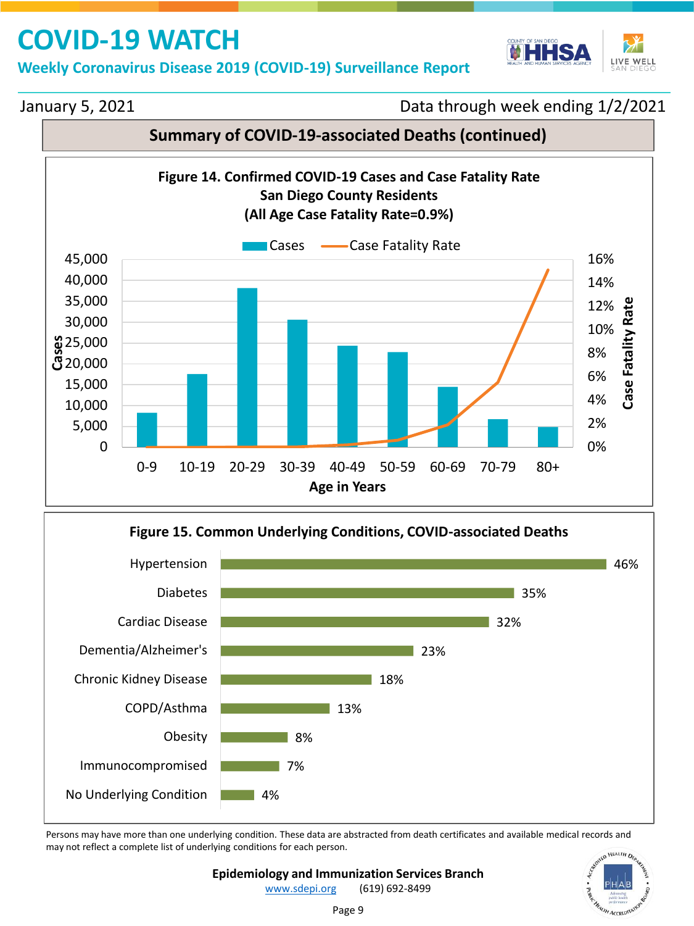**Weekly Coronavirus Disease 2019 (COVID-19) Surveillance Report** 



#### January 5, 2021

Data through week ending 1/2/2021

### **Summary of COVID-19-associated Deaths (continued)**



![](_page_8_Figure_7.jpeg)

Persons may have more than one underlying condition. These data are abstracted from death certificates and available medical records and may not reflect a complete list of underlying conditions for each person.

![](_page_8_Picture_9.jpeg)

[www.sdepi.org](http://www.sdepi.org/) (619) 692-8499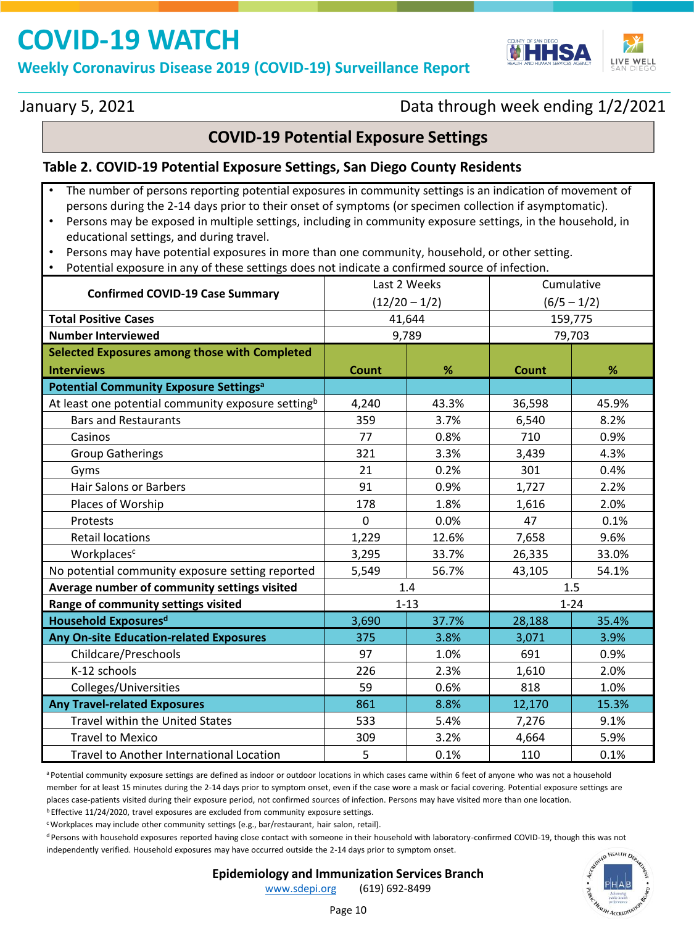**Weekly Coronavirus Disease 2019 (COVID-19) Surveillance Report** 

![](_page_9_Picture_2.jpeg)

January 5, 2021

### Data through week ending 1/2/2021

#### **COVID-19 Potential Exposure Settings**

#### **Table 2. COVID-19 Potential Exposure Settings, San Diego County Residents**

- The number of persons reporting potential exposures in community settings is an indication of movement of persons during the 2-14 days prior to their onset of symptoms (or specimen collection if asymptomatic).
- Persons may be exposed in multiple settings, including in community exposure settings, in the household, in educational settings, and during travel.
- Persons may have potential exposures in more than one community, household, or other setting.
- Potential exposure in any of these settings does not indicate a confirmed source of infection.

|                                                                | Last 2 Weeks    |       | Cumulative    |       |
|----------------------------------------------------------------|-----------------|-------|---------------|-------|
| <b>Confirmed COVID-19 Case Summary</b>                         | $(12/20 - 1/2)$ |       | $(6/5 - 1/2)$ |       |
| <b>Total Positive Cases</b>                                    | 41,644          |       | 159,775       |       |
| <b>Number Interviewed</b>                                      | 9,789           |       | 79,703        |       |
| Selected Exposures among those with Completed                  |                 |       |               |       |
| <b>Interviews</b>                                              | Count           | %     | Count         | %     |
| <b>Potential Community Exposure Settings<sup>a</sup></b>       |                 |       |               |       |
| At least one potential community exposure setting <sup>b</sup> | 4,240           | 43.3% | 36,598        | 45.9% |
| <b>Bars and Restaurants</b>                                    | 359             | 3.7%  | 6,540         | 8.2%  |
| Casinos                                                        | 77              | 0.8%  | 710           | 0.9%  |
| <b>Group Gatherings</b>                                        | 321             | 3.3%  | 3,439         | 4.3%  |
| Gyms                                                           | 21              | 0.2%  | 301           | 0.4%  |
| <b>Hair Salons or Barbers</b>                                  | 91              | 0.9%  | 1,727         | 2.2%  |
| Places of Worship                                              | 178             | 1.8%  | 1,616         | 2.0%  |
| Protests                                                       | $\Omega$        | 0.0%  | 47            | 0.1%  |
| <b>Retail locations</b>                                        | 1,229           | 12.6% | 7,658         | 9.6%  |
| Workplacesc                                                    | 3,295           | 33.7% | 26,335        | 33.0% |
| No potential community exposure setting reported               | 5,549           | 56.7% | 43,105        | 54.1% |
| Average number of community settings visited                   | 1.4             |       | 1.5           |       |
| Range of community settings visited                            | $1 - 13$        |       | $1 - 24$      |       |
| <b>Household Exposuresd</b>                                    | 3,690           | 37.7% | 28,188        | 35.4% |
| Any On-site Education-related Exposures                        | 375             | 3.8%  | 3,071         | 3.9%  |
| Childcare/Preschools                                           | 97              | 1.0%  | 691           | 0.9%  |
| K-12 schools                                                   | 226             | 2.3%  | 1,610         | 2.0%  |
| Colleges/Universities                                          | 59              | 0.6%  | 818           | 1.0%  |
| <b>Any Travel-related Exposures</b>                            | 861             | 8.8%  | 12,170        | 15.3% |
| Travel within the United States                                | 533             | 5.4%  | 7,276         | 9.1%  |
| <b>Travel to Mexico</b>                                        | 309             | 3.2%  | 4,664         | 5.9%  |
| Travel to Another International Location                       | 5               | 0.1%  | 110           | 0.1%  |

a Potential community exposure settings are defined as indoor or outdoor locations in which cases came within 6 feet of anyone who was not a household member for at least 15 minutes during the 2-14 days prior to symptom onset, even if the case wore a mask or facial covering. Potential exposure settings are places case-patients visited during their exposure period, not confirmed sources of infection. Persons may have visited more than one location.

**b** Effective 11/24/2020, travel exposures are excluded from community exposure settings.

<sup>c</sup>Workplaces may include other community settings (e.g., bar/restaurant, hair salon, retail).

<sup>d</sup> Persons with household exposures reported having close contact with someone in their household with laboratory-confirmed COVID-19, though this was not independently verified. Household exposures may have occurred outside the 2-14 days prior to symptom onset.

![](_page_9_Picture_16.jpeg)

**Epidemiology and Immunization Services Branch**

[www.sdepi.org](http://www.sdepi.org/) (619) 692-8499

Page 10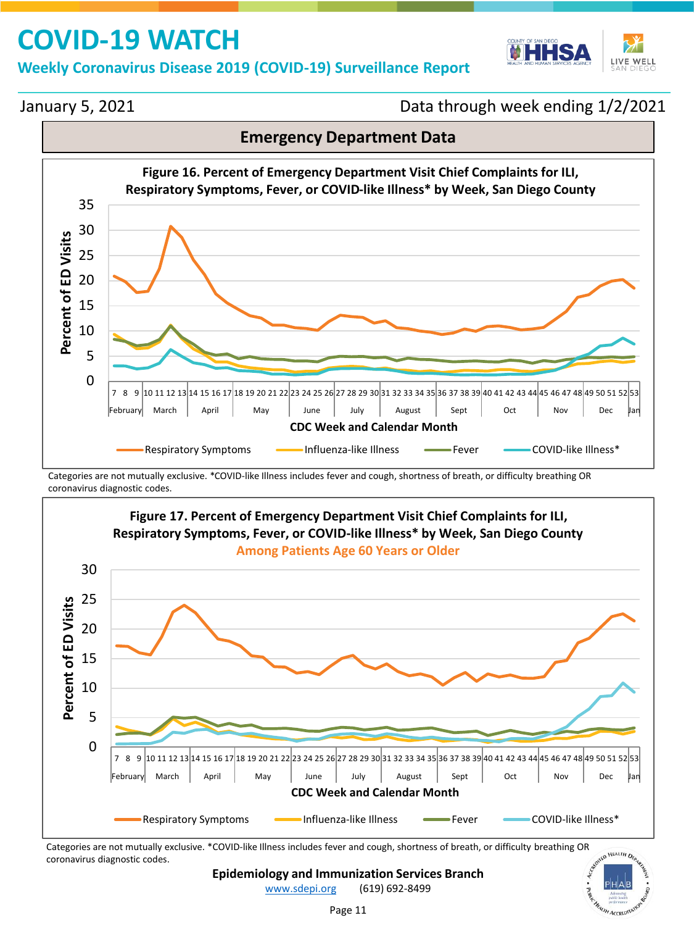#### **Weekly Coronavirus Disease 2019 (COVID-19) Surveillance Report**

![](_page_10_Picture_2.jpeg)

**AFALTH** 

January 5, 2021

Data through week ending 1/2/2021

![](_page_10_Figure_5.jpeg)

Categories are not mutually exclusive. \*COVID-like Illness includes fever and cough, shortness of breath, or difficulty breathing OR coronavirus diagnostic codes.

![](_page_10_Figure_7.jpeg)

Categories are not mutually exclusive. \*COVID-like Illness includes fever and cough, shortness of breath, or difficulty breathing OR coronavirus diagnostic codes.

**Epidemiology and Immunization Services Branch**

[www.sdepi.org](http://www.sdepi.org/) (619) 692-8499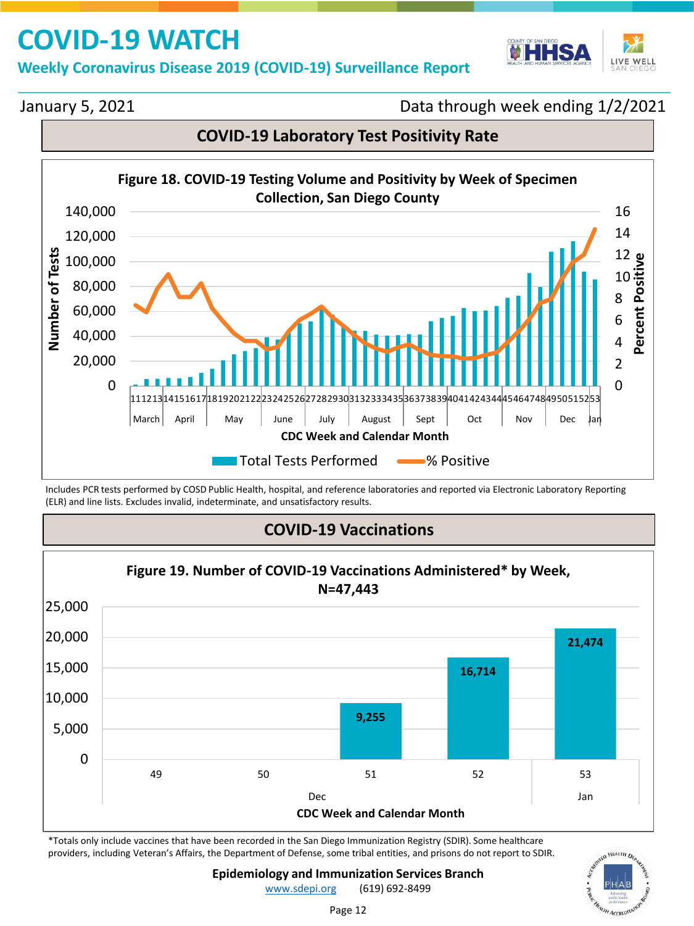#### **Weekly Coronavirus Disease 2019 (COVID-19) Surveillance Report**

![](_page_11_Picture_2.jpeg)

January 5, 2021

Data through week ending 1/2/2021

![](_page_11_Figure_5.jpeg)

Includes PCR tests performed by COSD Public Health, hospital, and reference laboratories and reported via Electronic Laboratory Reporting (ELR) and line lists. Excludes invalid, indeterminate, and unsatisfactory results.

### **COVID-19 Vaccinations**

![](_page_11_Figure_8.jpeg)

\*Totals only include vaccines that have been recorded in the San Diego Immunization Registry (SDIR). Some healthcare providers, including Veteran's Affairs, the Department of Defense, some tribal entities, and prisons do not report to SDIR.

![](_page_11_Picture_10.jpeg)

**Epidemiology and Immunization Services Branch**

[www.sdepi.org](http://www.sdepi.org/) (619) 692-8499